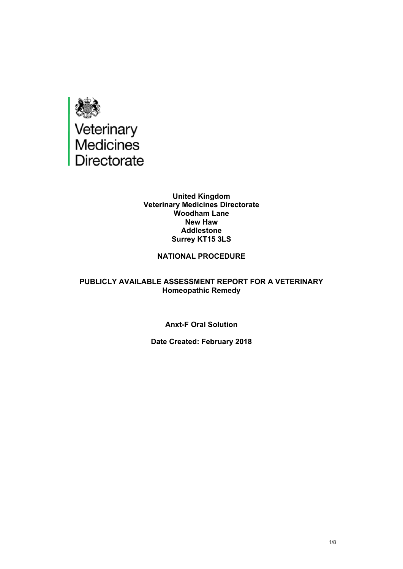

#### **United Kingdom Veterinary Medicines Directorate Woodham Lane New Haw Addlestone Surrey KT15 3LS**

## **NATIONAL PROCEDURE**

## **PUBLICLY AVAILABLE ASSESSMENT REPORT FOR A VETERINARY Homeopathic Remedy**

## **Anxt-F Oral Solution**

## **Date Created: February 2018**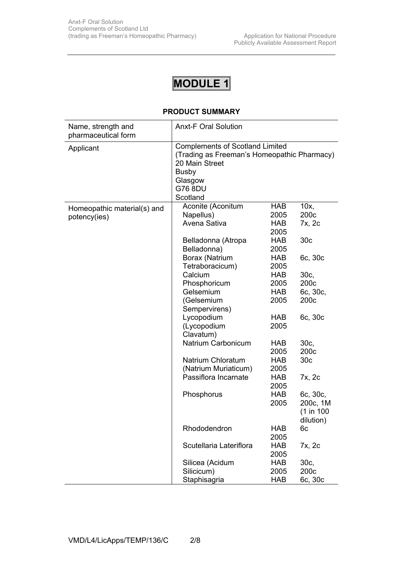# **MODULE 1**

## **PRODUCT SUMMARY**

| Name, strength and<br>pharmaceutical form   | <b>Anxt-F Oral Solution</b>                                                                                                                                      |                                          |                                                 |  |
|---------------------------------------------|------------------------------------------------------------------------------------------------------------------------------------------------------------------|------------------------------------------|-------------------------------------------------|--|
| Applicant                                   | <b>Complements of Scotland Limited</b><br>(Trading as Freeman's Homeopathic Pharmacy)<br>20 Main Street<br><b>Busby</b><br>Glasgow<br><b>G76 8DU</b><br>Scotland |                                          |                                                 |  |
| Homeopathic material(s) and<br>potency(ies) | Aconite (Aconitum<br>Napellus)<br>Avena Sativa                                                                                                                   | <b>HAB</b><br>2005<br><b>HAB</b><br>2005 | 10x,<br>200c<br>7x, 2c                          |  |
|                                             | Belladonna (Atropa<br>Belladonna)                                                                                                                                | HAB<br>2005                              | 30 <sub>c</sub>                                 |  |
|                                             | Borax (Natrium<br>Tetraboracicum)                                                                                                                                | HAB<br>2005                              | 6c, 30c                                         |  |
|                                             | Calcium                                                                                                                                                          | HAB                                      | 30c,                                            |  |
|                                             | Phosphoricum                                                                                                                                                     | 2005                                     | 200c                                            |  |
|                                             | Gelsemium                                                                                                                                                        | <b>HAB</b>                               | 6c, 30c,                                        |  |
|                                             | (Gelsemium                                                                                                                                                       | 2005                                     | 200c                                            |  |
|                                             | Sempervirens)                                                                                                                                                    |                                          |                                                 |  |
|                                             | Lycopodium                                                                                                                                                       | <b>HAB</b>                               | 6c, 30c                                         |  |
|                                             | (Lycopodium<br>Clavatum)                                                                                                                                         | 2005                                     |                                                 |  |
|                                             | Natrium Carbonicum                                                                                                                                               | HAB                                      | 30c,                                            |  |
|                                             |                                                                                                                                                                  | 2005                                     | 200 <sub>c</sub>                                |  |
|                                             | <b>Natrium Chloratum</b>                                                                                                                                         | <b>HAB</b>                               | 30 <sub>c</sub>                                 |  |
|                                             | (Natrium Muriaticum)                                                                                                                                             | 2005                                     |                                                 |  |
|                                             | Passiflora Incarnate                                                                                                                                             | <b>HAB</b><br>2005                       | 7x, 2c                                          |  |
|                                             | Phosphorus                                                                                                                                                       | HAB<br>2005                              | 6c, 30c,<br>200c, 1M<br>(1 in 100)<br>dilution) |  |
|                                             | Rhododendron                                                                                                                                                     | <b>HAB</b><br>2005                       | 6c                                              |  |
|                                             | Scutellaria Lateriflora                                                                                                                                          | <b>HAB</b><br>2005                       | 7x, 2c                                          |  |
|                                             | Silicea (Acidum                                                                                                                                                  | <b>HAB</b>                               | 30c,                                            |  |
|                                             | Silicicum)                                                                                                                                                       | 2005                                     | 200c                                            |  |
|                                             | Staphisagria                                                                                                                                                     | <b>HAB</b>                               | 6c, 30c                                         |  |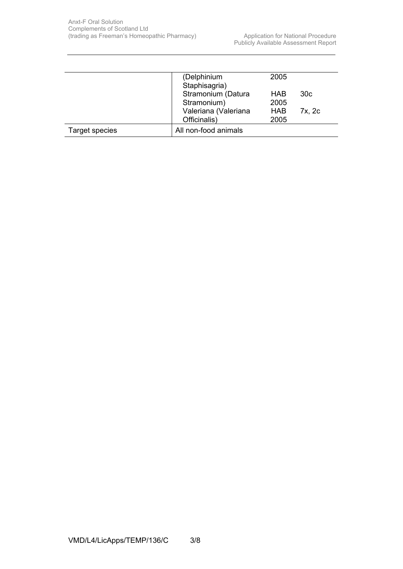|                | (Delphinium          | 2005       |                 |
|----------------|----------------------|------------|-----------------|
|                | Staphisagria)        |            |                 |
|                | Stramonium (Datura   | <b>HAB</b> | 30 <sub>c</sub> |
|                | Stramonium)          | 2005       |                 |
|                | Valeriana (Valeriana | <b>HAB</b> | 7x, 2c          |
|                | Officinalis)         | 2005       |                 |
| Target species | All non-food animals |            |                 |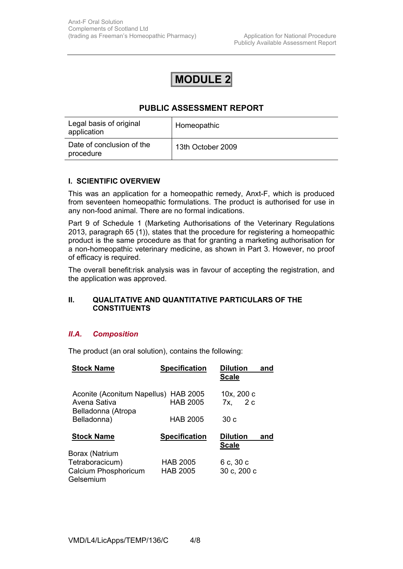## **MODULE 2**

## **PUBLIC ASSESSMENT REPORT**

| Legal basis of original<br>application | Homeopathic       |
|----------------------------------------|-------------------|
| Date of conclusion of the<br>procedure | 13th October 2009 |

## **I. SCIENTIFIC OVERVIEW**

This was an application for a homeopathic remedy, Anxt-F, which is produced from seventeen homeopathic formulations. The product is authorised for use in any non-food animal. There are no formal indications.

Part 9 of Schedule 1 (Marketing Authorisations of the Veterinary Regulations 2013, paragraph 65 (1)), states that the procedure for registering a homeopathic product is the same procedure as that for granting a marketing authorisation for a non-homeopathic veterinary medicine, as shown in Part 3. However, no proof of efficacy is required.

The overall benefit:risk analysis was in favour of accepting the registration, and the application was approved.

## **II. QUALITATIVE AND QUANTITATIVE PARTICULARS OF THE CONSTITUENTS**

## *II.A. Composition*

The product (an oral solution), contains the following:

| <b>Stock Name</b>                                                 | <b>Specification</b>               | <b>Dilution</b><br>and<br><b>Scale</b> |
|-------------------------------------------------------------------|------------------------------------|----------------------------------------|
| Aconite (Aconitum Napellus)<br>Avena Sativa<br>Belladonna (Atropa | <b>HAB 2005</b><br><b>HAB 2005</b> | 10x, 200 c<br>2c<br>7x.                |
| Belladonna)                                                       | <b>HAB 2005</b>                    | 30 c                                   |
| <b>Stock Name</b>                                                 | <b>Specification</b>               | <b>Dilution</b><br>and<br>Scale        |
| Borax (Natrium                                                    |                                    |                                        |
| Tetraboracicum)<br>Calcium Phosphoricum<br>Gelsemium              | <b>HAB 2005</b><br><b>HAB 2005</b> | 6 с, 30 с<br>30 с, 200 с               |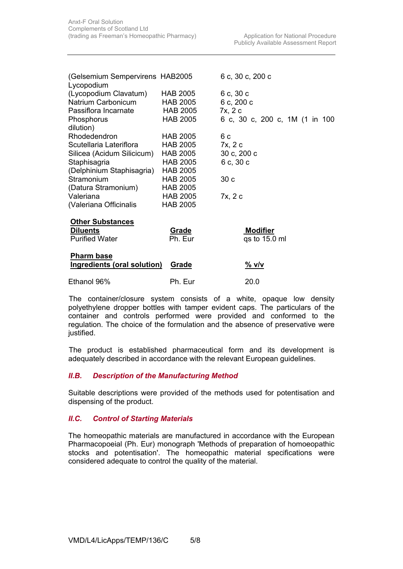| (Gelsemium Sempervirens HAB2005<br>Lycopodium |                 | 6 с, 30 с, 200 с               |
|-----------------------------------------------|-----------------|--------------------------------|
| (Lycopodium Clavatum)                         | <b>HAB 2005</b> | 6 c, 30 c                      |
| Natrium Carbonicum                            | <b>HAB 2005</b> | 6 c, 200 c                     |
| Passiflora Incarnate                          | <b>HAB 2005</b> | 7x, 2 c                        |
| Phosphorus                                    | <b>HAB 2005</b> | 6 c, 30 c, 200 c, 1M (1 in 100 |
| dilution)                                     |                 |                                |
| <b>Rhodedendron</b>                           | <b>HAB 2005</b> | 6 c                            |
| Scutellaria Lateriflora                       | HAB 2005        | 7x, 2 c                        |
| Silicea (Acidum Silicicum)                    | HAB 2005        | 30 c, 200 c                    |
| Staphisagria                                  | <b>HAB 2005</b> | 6 c, 30 c                      |
| (Delphinium Staphisagria)                     | <b>HAB 2005</b> |                                |
| Stramonium                                    | <b>HAB 2005</b> | 30c                            |
| (Datura Stramonium)                           | <b>HAB 2005</b> |                                |
| Valeriana                                     | <b>HAB 2005</b> | 7x, 2 c                        |
| (Valeriana Officinalis                        | <b>HAB 2005</b> |                                |
| <b>Other Substances</b>                       |                 |                                |
| <b>Diluents</b>                               | Grade           | <b>Modifier</b>                |
| <b>Purified Water</b>                         | Ph. Eur         | qs to 15.0 ml                  |
| <b>Pharm base</b>                             |                 |                                |
| <b>Ingredients (oral solution)</b>            | Grade           | <u>% v/v</u>                   |
| Ethanol 96%                                   | Ph. Eur         | 20.0                           |

 The container/closure system consists of a white, opaque low density polyethylene dropper bottles with tamper evident caps. The particulars of the container and controls performed were provided and conformed to the regulation. The choice of the formulation and the absence of preservative were justified.

 The product is established pharmaceutical form and its development is adequately described in accordance with the relevant European guidelines.

## *II.B. Description of the Manufacturing Method*

Suitable descriptions were provided of the methods used for potentisation and dispensing of the product.

## *II.C. Control of Starting Materials*

The homeopathic materials are manufactured in accordance with the European Pharmacopoeial (Ph. Eur) monograph 'Methods of preparation of homoeopathic stocks and potentisation'. The homeopathic material specifications were considered adequate to control the quality of the material.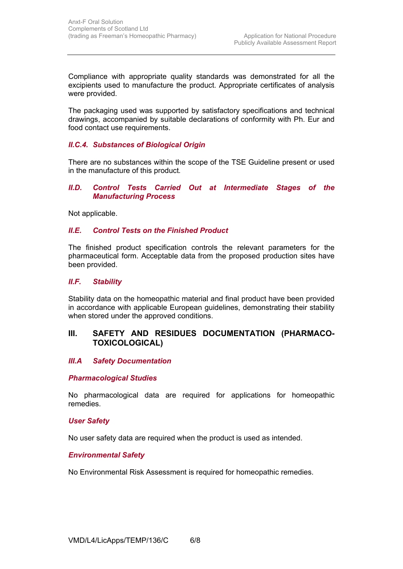Compliance with appropriate quality standards was demonstrated for all the excipients used to manufacture the product. Appropriate certificates of analysis were provided.

The packaging used was supported by satisfactory specifications and technical drawings, accompanied by suitable declarations of conformity with Ph. Eur and food contact use requirements.

## *II.C.4. Substances of Biological Origin*

There are no substances within the scope of the TSE Guideline present or used in the manufacture of this product*.*

#### **II.D.** Control Tests Carried Out at Intermediate Stages of the *Manufacturing Process*

Not applicable.

## *II.E. Control Tests on the Finished Product*

The finished product specification controls the relevant parameters for the pharmaceutical form. Acceptable data from the proposed production sites have been provided.

## *II.F. Stability*

Stability data on the homeopathic material and final product have been provided in accordance with applicable European guidelines, demonstrating their stability when stored under the approved conditions.

## **III. SAFETY AND RESIDUES DOCUMENTATION (PHARMACO-TOXICOLOGICAL)**

## *III.A Safety Documentation*

## *Pharmacological Studies*

No pharmacological data are required for applications for homeopathic remedies.

#### *User Safety*

No user safety data are required when the product is used as intended.

## *Environmental Safety*

No Environmental Risk Assessment is required for homeopathic remedies.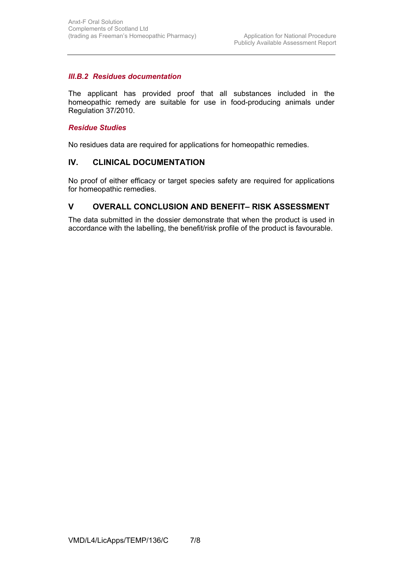## *III.B.2 Residues documentation*

The applicant has provided proof that all substances included in the homeopathic remedy are suitable for use in food-producing animals under Regulation 37/2010.

## *Residue Studies*

No residues data are required for applications for homeopathic remedies.

## **IV. CLINICAL DOCUMENTATION**

No proof of either efficacy or target species safety are required for applications for homeopathic remedies.

## **V OVERALL CONCLUSION AND BENEFIT– RISK ASSESSMENT**

The data submitted in the dossier demonstrate that when the product is used in accordance with the labelling, the benefit/risk profile of the product is favourable.